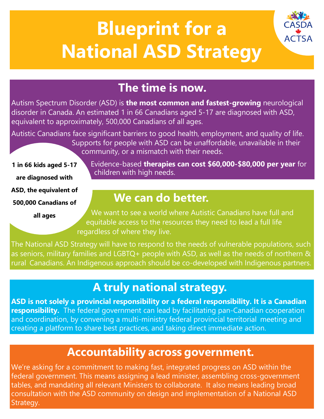# **Blueprint for a National ASD Strategy**



# **The time is now.**

Autism Spectrum Disorder (ASD) is **the most common and fastest-growing** neurological disorder in Canada. An estimated 1 in 66 Canadians aged 5-17 are diagnosed with ASD, equivalent to approximately, 500,000 Canadians of all ages.

Autistic Canadians face significant barriers to good health, employment, and quality of life. Supports for people with ASD can be unaffordable, unavailable in their community, or a mismatch with their needs.

**1 in 66 kids aged 5-17 are diagnosed with ASD, the equivalent of 500,000 Canadians of**

**all ages**

Evidence-based **therapies can cost \$60,000-\$80,000 per year** for children with high needs.

#### **We can do better.**

We want to see a world where Autistic Canadians have full and equitable access to the resources they need to lead a full life regardless of where they live.

The National ASD Strategy will have to respond to the needs of vulnerable populations, such as seniors, military families and LGBTQ+ people with ASD, as well as the needs of northern & rural Canadians. An Indigenous approach should be co-developed with Indigenous partners.

## **A truly national strategy.**

**ASD is not solely a provincial responsibility or a federal responsibility. It is a Canadian responsibility.** The federal government can lead by facilitating pan-Canadian cooperation and coordination, by convening a multi-ministry federal provincial territorial meeting and creating a platform to share best practices, and taking direct immediate action.

# **Accountability across government.**

We're asking for a commitment to making fast, integrated progress on ASD within the federal government. This means assigning a lead minister, assembling cross-government tables, and mandating all relevant Ministers to collaborate. It also means leading broad consultation with the ASD community on design and implementation of a National ASD Strategy.